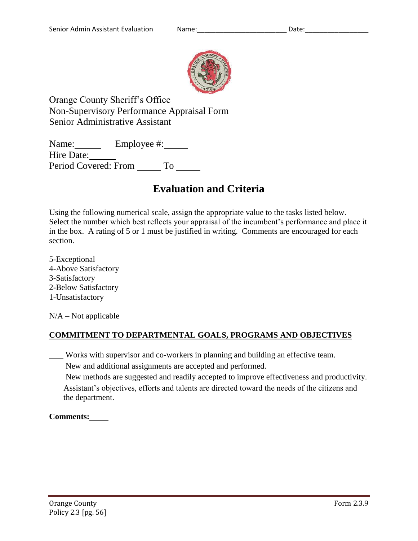

Orange County Sheriff's Office Non-Supervisory Performance Appraisal Form Senior Administrative Assistant

Name: Employee #: Hire Date: Period Covered: From \_\_\_\_\_\_ To \_\_\_\_\_

# **Evaluation and Criteria**

Using the following numerical scale, assign the appropriate value to the tasks listed below. Select the number which best reflects your appraisal of the incumbent's performance and place it in the box. A rating of 5 or 1 must be justified in writing. Comments are encouraged for each section.

5-Exceptional 4-Above Satisfactory 3-Satisfactory 2-Below Satisfactory 1-Unsatisfactory

 $N/A - Not$  applicable

# **COMMITMENT TO DEPARTMENTAL GOALS, PROGRAMS AND OBJECTIVES**

Works with supervisor and co-workers in planning and building an effective team.

- New and additional assignments are accepted and performed.
- New methods are suggested and readily accepted to improve effectiveness and productivity.
- Assistant's objectives, efforts and talents are directed toward the needs of the citizens and the department.

# **Comments:**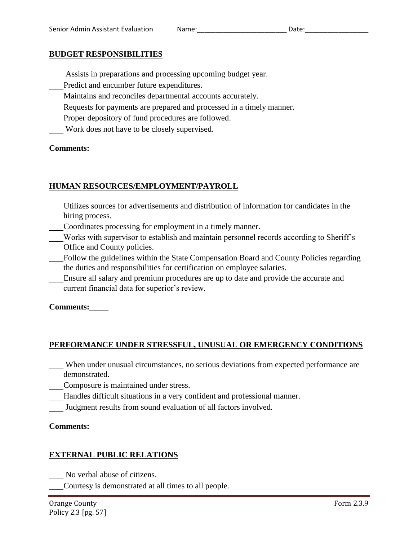## **BUDGET RESPONSIBILITIES**

- Assists in preparations and processing upcoming budget year.
- Predict and encumber future expenditures.
- Maintains and reconciles departmental accounts accurately.
- Requests for payments are prepared and processed in a timely manner.
- Proper depository of fund procedures are followed.
- Work does not have to be closely supervised.

#### **Comments:**

## **HUMAN RESOURCES/EMPLOYMENT/PAYROLL**

- Utilizes sources for advertisements and distribution of information for candidates in the hiring process.
- Coordinates processing for employment in a timely manner.
- Works with supervisor to establish and maintain personnel records according to Sheriff's Office and County policies.
- Follow the guidelines within the State Compensation Board and County Policies regarding the duties and responsibilities for certification on employee salaries.
- Ensure all salary and premium procedures are up to date and provide the accurate and current financial data for superior's review.

#### **Comments:**

# **PERFORMANCE UNDER STRESSFUL, UNUSUAL OR EMERGENCY CONDITIONS**

- When under unusual circumstances, no serious deviations from expected performance are demonstrated.
- Composure is maintained under stress.
- Handles difficult situations in a very confident and professional manner.
- Judgment results from sound evaluation of all factors involved.

#### **Comments:**

#### **EXTERNAL PUBLIC RELATIONS**

- No verbal abuse of citizens.
- Courtesy is demonstrated at all times to all people.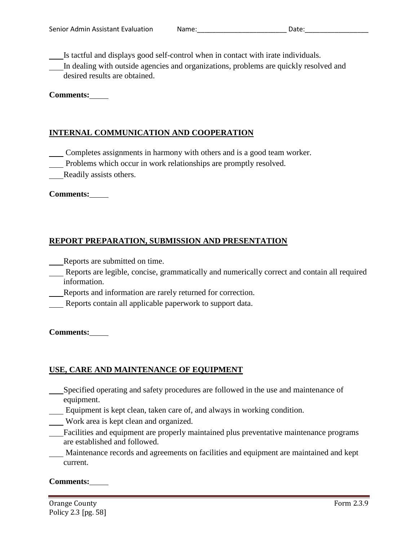Is tactful and displays good self-control when in contact with irate individuals.

In dealing with outside agencies and organizations, problems are quickly resolved and desired results are obtained.

## **Comments:**

# **INTERNAL COMMUNICATION AND COOPERATION**

Completes assignments in harmony with others and is a good team worker.

Problems which occur in work relationships are promptly resolved.

Readily assists others.

#### **Comments:**

# **REPORT PREPARATION, SUBMISSION AND PRESENTATION**

Reports are submitted on time.

- Reports are legible, concise, grammatically and numerically correct and contain all required information.
- Reports and information are rarely returned for correction.
- Reports contain all applicable paperwork to support data.

#### **Comments:**

# **USE, CARE AND MAINTENANCE OF EQUIPMENT**

- Specified operating and safety procedures are followed in the use and maintenance of equipment.
- Equipment is kept clean, taken care of, and always in working condition.
- Work area is kept clean and organized.
- Facilities and equipment are properly maintained plus preventative maintenance programs are established and followed.
- Maintenance records and agreements on facilities and equipment are maintained and kept current.

#### **Comments:**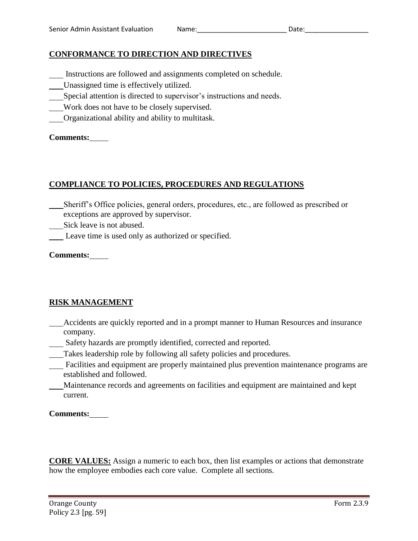# **CONFORMANCE TO DIRECTION AND DIRECTIVES**

- Instructions are followed and assignments completed on schedule.
- Unassigned time is effectively utilized.
- Special attention is directed to supervisor's instructions and needs.
- Work does not have to be closely supervised.
- Organizational ability and ability to multitask.

## **Comments:**

# **COMPLIANCE TO POLICIES, PROCEDURES AND REGULATIONS**

Sheriff's Office policies, general orders, procedures, etc., are followed as prescribed or exceptions are approved by supervisor.

Sick leave is not abused.

Leave time is used only as authorized or specified.

## **Comments:**

# **RISK MANAGEMENT**

- Accidents are quickly reported and in a prompt manner to Human Resources and insurance company.
- Safety hazards are promptly identified, corrected and reported.
- Takes leadership role by following all safety policies and procedures.
- Facilities and equipment are properly maintained plus prevention maintenance programs are established and followed.
- Maintenance records and agreements on facilities and equipment are maintained and kept current.

**Comments:**

**CORE VALUES:** Assign a numeric to each box, then list examples or actions that demonstrate how the employee embodies each core value. Complete all sections.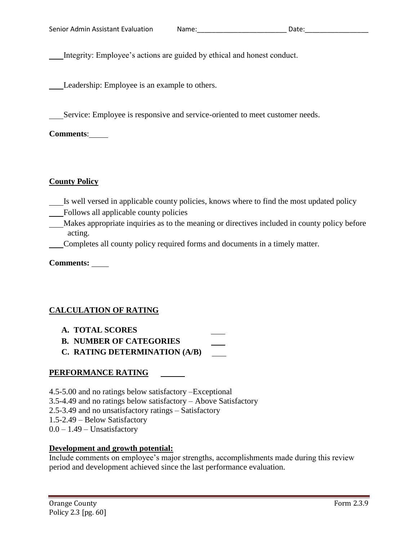Integrity: Employee's actions are guided by ethical and honest conduct.

Leadership: Employee is an example to others.

Service: Employee is responsive and service-oriented to meet customer needs.

**Comments**:

#### **County Policy**

- Is well versed in applicable county policies, knows where to find the most updated policy
- Follows all applicable county policies
- Makes appropriate inquiries as to the meaning or directives included in county policy before acting.
- Completes all county policy required forms and documents in a timely matter.

**Comments:** 

# **CALCULATION OF RATING**

- **A. TOTAL SCORES**
- **B. NUMBER OF CATEGORIES**
- **C. RATING DETERMINATION (A/B)**

# **PERFORMANCE RATING**

4.5-5.00 and no ratings below satisfactory –Exceptional 3.5-4.49 and no ratings below satisfactory – Above Satisfactory 2.5-3.49 and no unsatisfactory ratings – Satisfactory 1.5-2.49 – Below Satisfactory  $0.0 - 1.49 -$  Unsatisfactory

# **Development and growth potential:**

Include comments on employee's major strengths, accomplishments made during this review period and development achieved since the last performance evaluation.